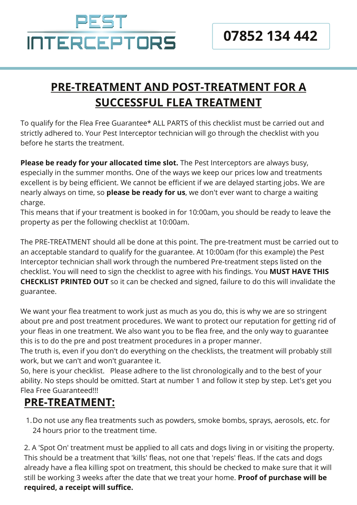# PEST **INTERCEPTORS**

### **PRE-TREATMENT AND POST-TREATMENT FOR A SUCCESSFUL FLEA TREATMENT**

To qualify for the Flea Free Guarantee\* ALL PARTS of this checklist must be carried out and strictly adhered to. Your Pest Interceptor technician will go through the checklist with you before he starts the treatment.

**Please be ready for your allocated time slot.** The Pest Interceptors are always busy, especially in the summer months. One of the ways we keep our prices low and treatments excellent is by being efficient. We cannot be efficient if we are delayed starting jobs. We are nearly always on time, so **please be ready for us**, we don't ever want to charge a waiting charge.

This means that if your treatment is booked in for 10:00am, you should be ready to leave the property as per the following checklist at 10:00am.

The PRE-TREATMENT should all be done at this point. The pre-treatment must be carried out to an acceptable standard to qualify for the guarantee. At 10:00am (for this example) the Pest Interceptor technician shall work through the numbered Pre-treatment steps listed on the checklist. You will need to sign the checklist to agree with his findings. You **MUST HAVE THIS CHECKLIST PRINTED OUT** so it can be checked and signed, failure to do this will invalidate the guarantee.

We want your flea treatment to work just as much as you do, this is why we are so stringent about pre and post treatment procedures. We want to protect our reputation for getting rid of your fleas in one treatment. We also want you to be flea free, and the only way to guarantee this is to do the pre and post treatment procedures in a proper manner.

The truth is, even if you don't do everything on the checklists, the treatment will probably still work, but we can't and won't guarantee it.

So, here is your checklist. Please adhere to the list chronologically and to the best of your ability. No steps should be omitted. Start at number 1 and follow it step by step. Let's get you Flea Free Guaranteed!!!

#### **PRE-TREATMENT:**

1. Do not use any flea treatments such as powders, smoke bombs, sprays, aerosols, etc. for 24 hours prior to the treatment time.

2. A 'Spot On' treatment must be applied to all cats and dogs living in or visiting the property. This should be a treatment that 'kills' fleas, not one that 'repels' fleas. If the cats and dogs already have a flea killing spot on treatment, this should be checked to make sure that it will still be working 3 weeks after the date that we treat your home. **Proof of purchase will be required, a receipt will suffice.**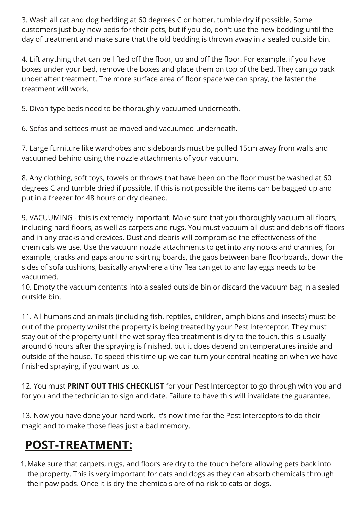3. Wash all cat and dog bedding at 60 degrees C or hotter, tumble dry if possible. Some customers just buy new beds for their pets, but if you do, don't use the new bedding until the day of treatment and make sure that the old bedding is thrown away in a sealed outside bin.

4. Lift anything that can be lifted off the floor, up and off the floor. For example, if you have boxes under your bed, remove the boxes and place them on top of the bed. They can go back under after treatment. The more surface area of floor space we can spray, the faster the treatment will work.

5. Divan type beds need to be thoroughly vacuumed underneath.

6. Sofas and settees must be moved and vacuumed underneath.

7. Large furniture like wardrobes and sideboards must be pulled 15cm away from walls and vacuumed behind using the nozzle attachments of your vacuum.

8. Any clothing, soft toys, towels or throws that have been on the floor must be washed at 60 degrees C and tumble dried if possible. If this is not possible the items can be bagged up and put in a freezer for 48 hours or dry cleaned.

9. VACUUMING - this is extremely important. Make sure that you thoroughly vacuum all floors, including hard floors, as well as carpets and rugs. You must vacuum all dust and debris off floors and in any cracks and crevices. Dust and debris will compromise the effectiveness of the chemicals we use. Use the vacuum nozzle attachments to get into any nooks and crannies, for example, cracks and gaps around skirting boards, the gaps between bare floorboards, down the sides of sofa cushions, basically anywhere a tiny flea can get to and lay eggs needs to be vacuumed.

10. Empty the vacuum contents into a sealed outside bin or discard the vacuum bag in a sealed outside bin.

11. All humans and animals (including fish, reptiles, children, amphibians and insects) must be out of the property whilst the property is being treated by your Pest Interceptor. They must stay out of the property until the wet spray flea treatment is dry to the touch, this is usually around 6 hours after the spraying is finished, but it does depend on temperatures inside and outside of the house. To speed this time up we can turn your central heating on when we have finished spraying, if you want us to.

12. You must **PRINT OUT THIS CHECKLIST** for your Pest Interceptor to go through with you and for you and the technician to sign and date. Failure to have this will invalidate the guarantee.

13. Now you have done your hard work, it's now time for the Pest Interceptors to do their magic and to make those fleas just a bad memory.

## **POST-TREATMENT:**

Make sure that carpets, rugs, and floors are dry to the touch before allowing pets back into 1.the property. This is very important for cats and dogs as they can absorb chemicals through their paw pads. Once it is dry the chemicals are of no risk to cats or dogs.